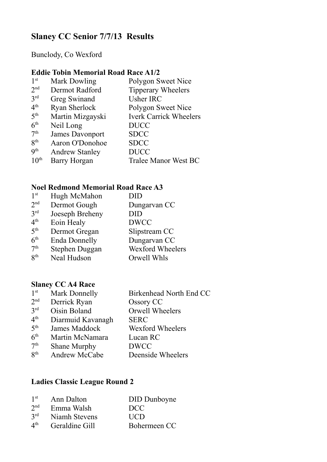# **Slaney CC Senior 7/7/13 Results**

Bunclody, Co Wexford

## **Eddie Tobin Memorial Road Race A1/2**

| 1 <sup>st</sup>          | <b>Mark Dowling</b>    | Polygon Sweet Nice            |
|--------------------------|------------------------|-------------------------------|
| 2 <sub>nd</sub>          | Dermot Radford         | <b>Tipperary Wheelers</b>     |
| 3 <sup>rd</sup>          | Greg Swinand           | <b>Usher IRC</b>              |
| 4 <sup>th</sup>          | <b>Ryan Sherlock</b>   | Polygon Sweet Nice            |
| 5 <sup>th</sup>          | Martin Mizgayski       | <b>Iverk Carrick Wheelers</b> |
| 6 <sup>th</sup>          | Neil Long              | <b>DUCC</b>                   |
| 7 <sup>th</sup>          | <b>James Davonport</b> | <b>SDCC</b>                   |
| 8 <sup>th</sup>          | Aaron O'Donohoe        | <b>SDCC</b>                   |
| $\mathbf{Q}^{\text{th}}$ | <b>Andrew Stanley</b>  | <b>DUCC</b>                   |
| 10 <sup>th</sup>         | <b>Barry Horgan</b>    | <b>Tralee Manor West BC</b>   |
|                          |                        |                               |

## **Noel Redmond Memorial Road Race A3**

| 1 <sup>st</sup> | Hugh McMahon         | DID              |
|-----------------|----------------------|------------------|
| 2 <sub>nd</sub> | Dermot Gough         | Dungarvan CC     |
| 3 <sup>rd</sup> | Joeseph Breheny      | DID              |
| 4 <sup>th</sup> | Eoin Healy           | <b>DWCC</b>      |
| 5 <sup>th</sup> | Dermot Gregan        | Slipstream CC    |
| 6 <sup>th</sup> | <b>Enda Donnelly</b> | Dungarvan CC     |
| 7 <sup>th</sup> | Stephen Duggan       | Wexford Wheelers |
| $R^{th}$        | Neal Hudson          | Orwell Whls      |
|                 |                      |                  |

### **Slaney CC A4 Race**

| 1 <sup>st</sup> | <b>Mark Donnelly</b> | Birkenhead North End CC |
|-----------------|----------------------|-------------------------|
| 2 <sup>nd</sup> | Derrick Ryan         | Ossory CC               |
| 3 <sup>rd</sup> | Oisin Boland         | Orwell Wheelers         |
| 4 <sup>th</sup> | Diarmuid Kavanagh    | <b>SERC</b>             |
| 5 <sup>th</sup> | James Maddock        | <b>Wexford Wheelers</b> |
| 6 <sup>th</sup> | Martin McNamara      | Lucan RC                |
| 7 <sup>th</sup> | <b>Shane Murphy</b>  | <b>DWCC</b>             |
| $R^{th}$        | Andrew McCabe        | Deenside Wheelers       |
|                 |                      |                         |

### **Ladies Classic League Round 2**

| 1 <sup>st</sup>          | Ann Dalton     | DID Dunboyne |
|--------------------------|----------------|--------------|
| 2 <sup>nd</sup>          | Emma Walsh     | DCC          |
| 3 <sup>rd</sup>          | Niamh Stevens  | <b>UCD</b>   |
| $\mathbf{4}^{\text{th}}$ | Geraldine Gill | Bohermeen CC |